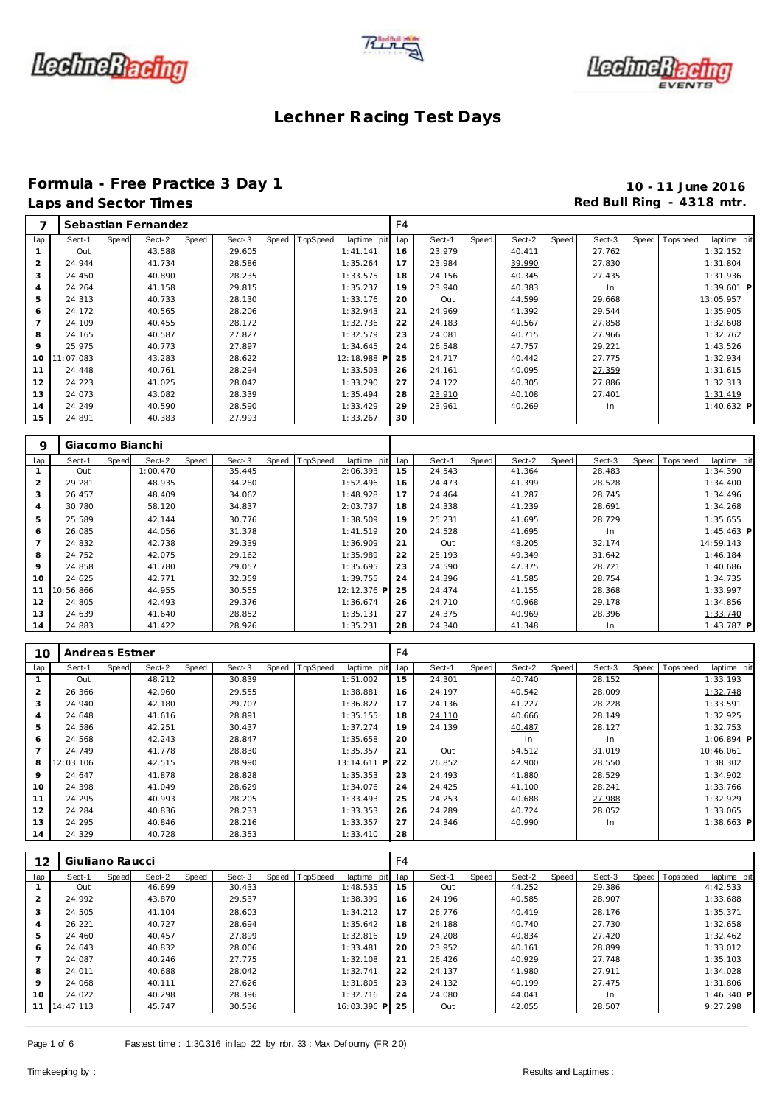





#### **Formula - Free Practice 3 Day 1 10 - 11 June 2016** Laps and Sector Times **Red Bull Ring - 4318 mtr.**

| ⇁              |           |       | Sebastian Fernandez |       |        |       |          |             | F4  |        |       |        |       |        |                  |              |
|----------------|-----------|-------|---------------------|-------|--------|-------|----------|-------------|-----|--------|-------|--------|-------|--------|------------------|--------------|
| lap            | Sect-1    | Speed | Sect-2              | Speed | Sect-3 | Speed | TopSpeed | laptime pit | lap | Sect-1 | Speed | Sect-2 | Speed | Sect-3 | Speed   Topspeed | laptime pit  |
|                | Out       |       | 43.588              |       | 29.605 |       |          | 1:41.141    | 16  | 23.979 |       | 40.411 |       | 27.762 |                  | 1:32.152     |
| 2              | 24.944    |       | 41.734              |       | 28.586 |       |          | 1:35.264    | 17  | 23.984 |       | 39.990 |       | 27.830 |                  | 1:31.804     |
| 3              | 24.450    |       | 40.890              |       | 28.235 |       |          | 1:33.575    | 18  | 24.156 |       | 40.345 |       | 27.435 |                  | 1:31.936     |
| $\overline{A}$ | 24.264    |       | 41.158              |       | 29.815 |       |          | 1:35.237    | 19  | 23.940 |       | 40.383 |       | In.    |                  | $1:39.601$ P |
| 5              | 24.313    |       | 40.733              |       | 28.130 |       |          | 1:33.176    | 20  | Out    |       | 44.599 |       | 29.668 |                  | 13:05.957    |
| 6              | 24.172    |       | 40.565              |       | 28.206 |       |          | 1:32.943    | 21  | 24.969 |       | 41.392 |       | 29.544 |                  | 1:35.905     |
| $\overline{7}$ | 24.109    |       | 40.455              |       | 28.172 |       |          | 1:32.736    | 22  | 24.183 |       | 40.567 |       | 27.858 |                  | 1:32.608     |
| 8              | 24.165    |       | 40.587              |       | 27.827 |       |          | 1:32.579    | 23  | 24.081 |       | 40.715 |       | 27.966 |                  | 1:32.762     |
| 9              | 25.975    |       | 40.773              |       | 27.897 |       |          | 1:34.645    | 24  | 26.548 |       | 47.757 |       | 29.221 |                  | 1:43.526     |
| 10             | 11:07.083 |       | 43.283              |       | 28.622 |       |          | 12:18.988 P | 25  | 24.717 |       | 40.442 |       | 27.775 |                  | 1:32.934     |
| 11             | 24.448    |       | 40.761              |       | 28.294 |       |          | 1:33.503    | 26  | 24.161 |       | 40.095 |       | 27.359 |                  | 1:31.615     |
| 12             | 24.223    |       | 41.025              |       | 28.042 |       |          | 1:33.290    | 27  | 24.122 |       | 40.305 |       | 27.886 |                  | 1:32.313     |
| 13             | 24.073    |       | 43.082              |       | 28.339 |       |          | 1:35.494    | 28  | 23.910 |       | 40.108 |       | 27.401 |                  | 1:31.419     |
| 14             | 24.249    |       | 40.590              |       | 28.590 |       |          | 1:33.429    | 29  | 23.961 |       | 40.269 |       | In.    |                  | 1:40.632 P   |
| 15             | 24.891    |       | 40.383              |       | 27.993 |       |          | 1:33.267    | 30  |        |       |        |       |        |                  |              |

| 9   | Giacomo Bianchi |       |          |       |        |                |             |     |        |       |        |       |        |                |              |
|-----|-----------------|-------|----------|-------|--------|----------------|-------------|-----|--------|-------|--------|-------|--------|----------------|--------------|
| lap | Sect-1          | Speed | Sect-2   | Speed | Sect-3 | Speed TopSpeed | laptime pit | lap | Sect-1 | Speed | Sect-2 | Speed | Sect-3 | Speed Topspeed | laptime pit  |
|     | Out             |       | 1:00.470 |       | 35.445 |                | 2:06.393    | 15  | 24.543 |       | 41.364 |       | 28.483 |                | 1:34.390     |
| 2   | 29.281          |       | 48.935   |       | 34.280 |                | 1:52.496    | 16  | 24.473 |       | 41.399 |       | 28.528 |                | 1:34.400     |
| 3   | 26.457          |       | 48.409   |       | 34.062 |                | 1:48.928    | 17  | 24.464 |       | 41.287 |       | 28.745 |                | 1:34.496     |
| 4   | 30.780          |       | 58.120   |       | 34.837 |                | 2:03.737    | 18  | 24.338 |       | 41.239 |       | 28.691 |                | 1:34.268     |
| 5   | 25.589          |       | 42.144   |       | 30.776 |                | 1:38.509    | 19  | 25.231 |       | 41.695 |       | 28.729 |                | 1:35.655     |
| 6   | 26.085          |       | 44.056   |       | 31.378 |                | 1:41.519    | 20  | 24.528 |       | 41.695 |       | In     |                | $1:45.463$ P |
|     | 24.832          |       | 42.738   |       | 29.339 |                | 1:36.909    | 21  | Out    |       | 48.205 |       | 32.174 |                | 14:59.143    |
| 8   | 24.752          |       | 42.075   |       | 29.162 |                | 1:35.989    | 22  | 25.193 |       | 49.349 |       | 31.642 |                | 1:46.184     |
| 9   | 24.858          |       | 41.780   |       | 29.057 |                | 1:35.695    | 23  | 24.590 |       | 47.375 |       | 28.721 |                | 1:40.686     |
| 10  | 24.625          |       | 42.771   |       | 32.359 |                | 1:39.755    | 24  | 24.396 |       | 41.585 |       | 28.754 |                | 1:34.735     |
| 11  | 10:56.866       |       | 44.955   |       | 30.555 |                | 12:12.376 P | 25  | 24.474 |       | 41.155 |       | 28.368 |                | 1:33.997     |
| 12  | 24.805          |       | 42.493   |       | 29.376 |                | 1:36.674    | 26  | 24.710 |       | 40.968 |       | 29.178 |                | 1:34.856     |
| 13  | 24.639          |       | 41.640   |       | 28.852 |                | 1:35.131    | 27  | 24.375 |       | 40.969 |       | 28.396 |                | 1:33.740     |
| 14  | 24.883          |       | 41.422   |       | 28.926 |                | 1:35.231    | 28  | 24.340 |       | 41.348 |       | In     |                | $1:43.787$ P |

| 10  | Andreas Estner |       |        |       |        |       |          |             | F4  |        |              |        |       |        |       |             |              |  |
|-----|----------------|-------|--------|-------|--------|-------|----------|-------------|-----|--------|--------------|--------|-------|--------|-------|-------------|--------------|--|
| lap | Sect-1         | Speed | Sect-2 | Speed | Sect-3 | Speed | TopSpeed | laptime pit | lap | Sect-1 | <b>Speed</b> | Sect-2 | Speed | Sect-3 | Speed | T ops pee d | laptime pit  |  |
|     | Out            |       | 48.212 |       | 30.839 |       |          | 1:51.002    | 15  | 24.301 |              | 40.740 |       | 28.152 |       |             | 1:33.193     |  |
| 2   | 26.366         |       | 42.960 |       | 29.555 |       |          | 1:38.881    | 16  | 24.197 |              | 40.542 |       | 28.009 |       |             | 1:32.748     |  |
| 3   | 24.940         |       | 42.180 |       | 29.707 |       |          | 1:36.827    | 17  | 24.136 |              | 41.227 |       | 28.228 |       |             | 1:33.591     |  |
| 4   | 24.648         |       | 41.616 |       | 28.891 |       |          | 1:35.155    | 18  | 24.110 |              | 40.666 |       | 28.149 |       |             | 1:32.925     |  |
| 5   | 24.586         |       | 42.251 |       | 30.437 |       |          | 1:37.274    | 19  | 24.139 |              | 40.487 |       | 28.127 |       |             | 1:32.753     |  |
| 6   | 24.568         |       | 42.243 |       | 28.847 |       |          | 1:35.658    | 20  |        |              | In     |       | In.    |       |             | $1:06.894$ P |  |
|     | 24.749         |       | 41.778 |       | 28.830 |       |          | 1:35.357    | 21  | Out    |              | 54.512 |       | 31.019 |       |             | 10:46.061    |  |
| 8   | 12:03.106      |       | 42.515 |       | 28.990 |       |          | 13:14.611 P | 22  | 26.852 |              | 42.900 |       | 28.550 |       |             | 1:38.302     |  |
| 9   | 24.647         |       | 41.878 |       | 28.828 |       |          | 1:35.353    | 23  | 24.493 |              | 41.880 |       | 28.529 |       |             | 1:34.902     |  |
| 10  | 24.398         |       | 41.049 |       | 28.629 |       |          | 1:34.076    | 24  | 24.425 |              | 41.100 |       | 28.241 |       |             | 1:33.766     |  |
| 11  | 24.295         |       | 40.993 |       | 28.205 |       |          | 1:33.493    | 25  | 24.253 |              | 40.688 |       | 27.988 |       |             | 1:32.929     |  |
| 12  | 24.284         |       | 40.836 |       | 28.233 |       |          | 1:33.353    | 26  | 24.289 |              | 40.724 |       | 28.052 |       |             | 1:33.065     |  |
| 13  | 24.295         |       | 40.846 |       | 28.216 |       |          | 1:33.357    | 27  | 24.346 |              | 40.990 |       | In     |       |             | $1:38.663$ P |  |
| 14  | 24.329         |       | 40.728 |       | 28.353 |       |          | 1:33.410    | 28  |        |              |        |       |        |       |             |              |  |

| 12             | Giuliano Raucci |       |        |       |        |                |             | F4  |        |       |        |       |        |                |             |
|----------------|-----------------|-------|--------|-------|--------|----------------|-------------|-----|--------|-------|--------|-------|--------|----------------|-------------|
| lap            | Sect-1          | Speed | Sect-2 | Speed | Sect-3 | Speed TopSpeed | laptime pit | lap | Sect-1 | Speed | Sect-2 | Speed | Sect-3 | Speed Topspeed | laptime pit |
|                | Out             |       | 46.699 |       | 30.433 |                | 1:48.535    | 15  | Out    |       | 44.252 |       | 29.386 |                | 4:42.533    |
| $\overline{2}$ | 24.992          |       | 43.870 |       | 29.537 |                | 1:38.399    | 16  | 24.196 |       | 40.585 |       | 28.907 |                | 1:33.688    |
| 3              | 24.505          |       | 41.104 |       | 28.603 |                | 1:34.212    | 17  | 26.776 |       | 40.419 |       | 28.176 |                | 1:35.371    |
| 4              | 26.221          |       | 40.727 |       | 28.694 |                | 1:35.642    | 18  | 24.188 |       | 40.740 |       | 27.730 |                | 1:32.658    |
| 5              | 24.460          |       | 40.457 |       | 27.899 |                | 1:32.816    | 19  | 24.208 |       | 40.834 |       | 27.420 |                | 1:32.462    |
| 6              | 24.643          |       | 40.832 |       | 28.006 |                | 1:33.481    | 20  | 23.952 |       | 40.161 |       | 28.899 |                | 1:33.012    |
| $\overline{ }$ | 24.087          |       | 40.246 |       | 27.775 |                | 1:32.108    | 21  | 26.426 |       | 40.929 |       | 27.748 |                | 1:35.103    |
| 8              | 24.011          |       | 40.688 |       | 28.042 |                | 1:32.741    | 22  | 24.137 |       | 41.980 |       | 27.911 |                | 1:34.028    |
| 9              | 24.068          |       | 40.111 |       | 27.626 |                | 1:31.805    | 23  | 24.132 |       | 40.199 |       | 27.475 |                | 1:31.806    |
| 10             | 24.022          |       | 40.298 |       | 28.396 |                | 1:32.716    | 24  | 24.080 |       | 44.041 |       | In     |                | 1:46.340 P  |
|                | 14:47.113       |       | 45.747 |       | 30.536 |                | 16:03.396 P | 25  | Out    |       | 42.055 |       | 28.507 |                | 9:27.298    |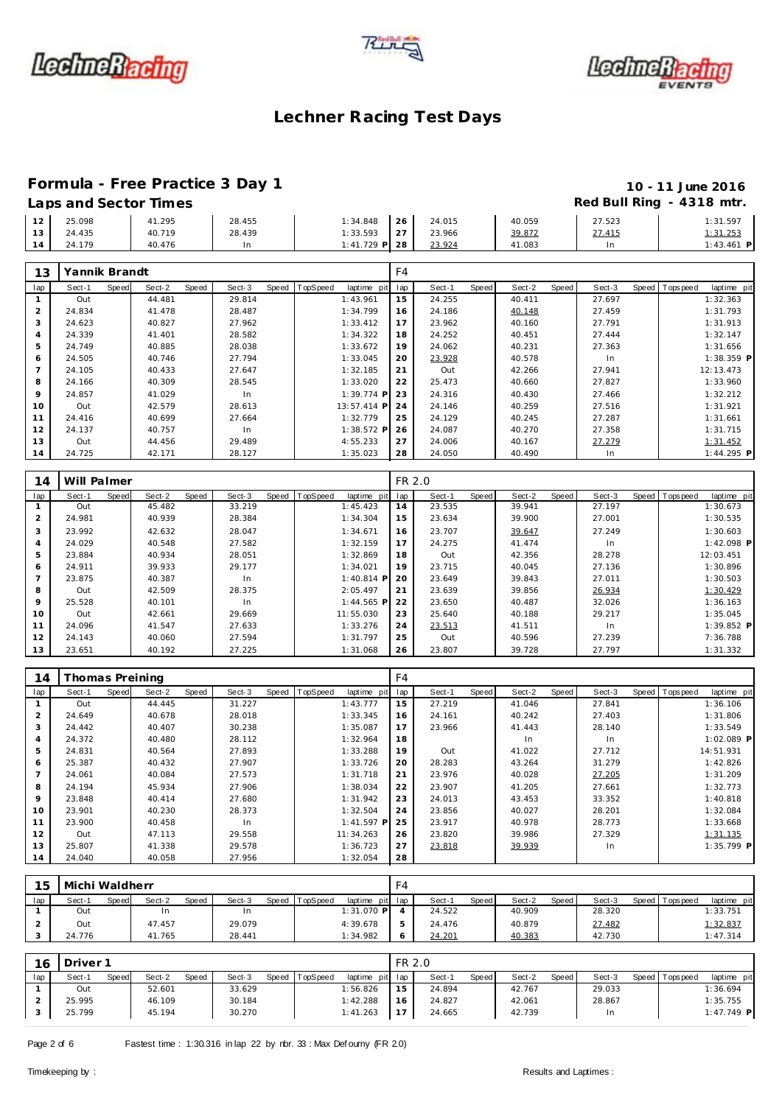





# **Formula - Free Practice 3 Day 1 10 - 11 June 2016**

| 12 | 25.098 | 41.295 | 28.455 | $1:34.848$ 26   |    | 24.015 | 40.059 | 27.523 | 1:31.597    |
|----|--------|--------|--------|-----------------|----|--------|--------|--------|-------------|
| 13 | 24.435 | 40.719 | 28.439 | 1:33.593        | 27 | 23.966 | 39.872 | 27.415 | 1:31.253    |
| 14 | 24.179 | 40.476 | In     | $1:41.729$ P 28 |    | 23.924 | 41.083 | ln.    | 1:43.461 PI |

| 13  | Yannik Brandt |       |        |       |        |       |                 |              | F4  |        |       |        |       |        |       |             |              |
|-----|---------------|-------|--------|-------|--------|-------|-----------------|--------------|-----|--------|-------|--------|-------|--------|-------|-------------|--------------|
| lap | Sect-1        | Speed | Sect-2 | Speed | Sect-3 | Speed | <b>TopSpeed</b> | laptime pit  | lap | Sect-1 | Speed | Sect-2 | Speed | Sect-3 | Speed | T ops pee d | laptime pit  |
|     | Out           |       | 44.481 |       | 29.814 |       |                 | 1:43.961     | 15  | 24.255 |       | 40.411 |       | 27.697 |       |             | 1:32.363     |
| 2   | 24.834        |       | 41.478 |       | 28.487 |       |                 | 1:34.799     | 16  | 24.186 |       | 40.148 |       | 27.459 |       |             | 1:31.793     |
| 3   | 24.623        |       | 40.827 |       | 27.962 |       |                 | 1:33.412     | 17  | 23.962 |       | 40.160 |       | 27.791 |       |             | 1:31.913     |
| 4   | 24.339        |       | 41.401 |       | 28.582 |       |                 | 1:34.322     | 18  | 24.252 |       | 40.451 |       | 27.444 |       |             | 1:32.147     |
| 5   | 24.749        |       | 40.885 |       | 28.038 |       |                 | 1:33.672     | 19  | 24.062 |       | 40.231 |       | 27.363 |       |             | 1:31.656     |
| 6   | 24.505        |       | 40.746 |       | 27.794 |       |                 | 1:33.045     | 20  | 23.928 |       | 40.578 |       | In.    |       |             | $1:38.359$ P |
|     | 24.105        |       | 40.433 |       | 27.647 |       |                 | 1:32.185     | 21  | Out    |       | 42.266 |       | 27.941 |       |             | 12:13.473    |
| 8   | 24.166        |       | 40.309 |       | 28.545 |       |                 | 1:33.020     | 22  | 25.473 |       | 40.660 |       | 27.827 |       |             | 1:33.960     |
| 9   | 24.857        |       | 41.029 |       | In     |       |                 | $1:39.774$ P | 23  | 24.316 |       | 40.430 |       | 27.466 |       |             | 1:32.212     |
| 10  | Out           |       | 42.579 |       | 28.613 |       |                 | 13:57.414 P  | 24  | 24.146 |       | 40.259 |       | 27.516 |       |             | 1:31.921     |
| 11  | 24.416        |       | 40.699 |       | 27.664 |       |                 | 1:32.779     | 25  | 24.129 |       | 40.245 |       | 27.287 |       |             | 1:31.661     |
| 12  | 24.137        |       | 40.757 |       | In.    |       |                 | $1:38.572$ P | 26  | 24.087 |       | 40.270 |       | 27.358 |       |             | 1:31.715     |
| 13  | Out           |       | 44.456 |       | 29.489 |       |                 | 4:55.233     | 27  | 24.006 |       | 40.167 |       | 27.279 |       |             | 1:31.452     |
| 14  | 24.725        |       | 42.171 |       | 28.127 |       |                 | 1:35.023     | 28  | 24.050 |       | 40.490 |       | In     |       |             | $1:44.295$ P |

| 14             | Will Palmer |       |        |       |        |       |          |              | FR 2.0 |        |       |        |       |        |                |              |
|----------------|-------------|-------|--------|-------|--------|-------|----------|--------------|--------|--------|-------|--------|-------|--------|----------------|--------------|
| lap            | Sect-1      | Speed | Sect-2 | Speed | Sect-3 | Speed | TopSpeed | laptime pit  | lap    | Sect-1 | Speed | Sect-2 | Speed | Sect-3 | Speed Topspeed | laptime pit  |
|                | Out         |       | 45.482 |       | 33.219 |       |          | 1:45.423     | 14     | 23.535 |       | 39.941 |       | 27.197 |                | 1:30.673     |
| $\overline{2}$ | 24.981      |       | 40.939 |       | 28.384 |       |          | 1:34.304     | 15     | 23.634 |       | 39.900 |       | 27.001 |                | 1:30.535     |
| 3              | 23.992      |       | 42.632 |       | 28.047 |       |          | 1:34.671     | 16     | 23.707 |       | 39.647 |       | 27.249 |                | 1:30.603     |
| 4              | 24.029      |       | 40.548 |       | 27.582 |       |          | 1:32.159     | 17     | 24.275 |       | 41.474 |       | In     |                | $1:42.098$ P |
| 5              | 23.884      |       | 40.934 |       | 28.051 |       |          | 1:32.869     | 18     | Out    |       | 42.356 |       | 28.278 |                | 12:03.451    |
| 6              | 24.911      |       | 39.933 |       | 29.177 |       |          | 1:34.021     | 19     | 23.715 |       | 40.045 |       | 27.136 |                | 1:30.896     |
|                | 23.875      |       | 40.387 |       | In     |       |          | $1:40.814$ P | 20     | 23.649 |       | 39.843 |       | 27.011 |                | 1:30.503     |
| 8              | Out         |       | 42.509 |       | 28.375 |       |          | 2:05.497     | 21     | 23.639 |       | 39.856 |       | 26.934 |                | 1:30.429     |
| 9              | 25.528      |       | 40.101 |       | In     |       |          | $1:44.565$ P | 22     | 23.650 |       | 40.487 |       | 32.026 |                | 1:36.163     |
| 10             | Out         |       | 42.661 |       | 29.669 |       |          | 11:55.030    | 23     | 25.640 |       | 40.188 |       | 29.217 |                | 1:35.045     |
| 11             | 24.096      |       | 41.547 |       | 27.633 |       |          | 1:33.276     | 24     | 23.513 |       | 41.511 |       | In.    |                | $1:39.852$ P |
| 12             | 24.143      |       | 40.060 |       | 27.594 |       |          | 1:31.797     | 25     | Out    |       | 40.596 |       | 27.239 |                | 7:36.788     |
| 13             | 23.651      |       | 40.192 |       | 27.225 |       |          | 1:31.068     | 26     | 23.807 |       | 39.728 |       | 27.797 |                | 1:31.332     |

| 14  | Thomas Preining |       |        |       |        |       |          |              | F4  |        |       |        |       |        |       |          |              |
|-----|-----------------|-------|--------|-------|--------|-------|----------|--------------|-----|--------|-------|--------|-------|--------|-------|----------|--------------|
| lap | Sect-1          | Speed | Sect-2 | Speed | Sect-3 | Speed | TopSpeed | laptime pit  | lap | Sect-1 | Speed | Sect-2 | Speed | Sect-3 | Speed | Topspeed | laptime pit  |
|     | Out             |       | 44.445 |       | 31.227 |       |          | 1:43.777     | 15  | 27.219 |       | 41.046 |       | 27.841 |       |          | 1:36.106     |
| 2   | 24.649          |       | 40.678 |       | 28.018 |       |          | 1:33.345     | 16  | 24.161 |       | 40.242 |       | 27.403 |       |          | 1:31.806     |
| 3   | 24.442          |       | 40.407 |       | 30.238 |       |          | 1:35.087     | 17  | 23.966 |       | 41.443 |       | 28.140 |       |          | 1:33.549     |
| 4   | 24.372          |       | 40.480 |       | 28.112 |       |          | 1:32.964     | 18  |        |       | In     |       | In     |       |          | 1:02.089 P   |
| 5   | 24.831          |       | 40.564 |       | 27.893 |       |          | 1:33.288     | 19  | Out    |       | 41.022 |       | 27.712 |       |          | 14:51.931    |
| 6   | 25.387          |       | 40.432 |       | 27.907 |       |          | 1:33.726     | 20  | 28.283 |       | 43.264 |       | 31.279 |       |          | 1:42.826     |
|     | 24.061          |       | 40.084 |       | 27.573 |       |          | 1:31.718     | 21  | 23.976 |       | 40.028 |       | 27.205 |       |          | 1:31.209     |
| 8   | 24.194          |       | 45.934 |       | 27.906 |       |          | 1:38.034     | 22  | 23.907 |       | 41.205 |       | 27.661 |       |          | 1:32.773     |
| 9   | 23.848          |       | 40.414 |       | 27.680 |       |          | 1:31.942     | 23  | 24.013 |       | 43.453 |       | 33.352 |       |          | 1:40.818     |
| 10  | 23.901          |       | 40.230 |       | 28.373 |       |          | 1:32.504     | 24  | 23.856 |       | 40.027 |       | 28.201 |       |          | 1:32.084     |
| 11  | 23.900          |       | 40.458 |       | In.    |       |          | $1:41.597$ P | 25  | 23.917 |       | 40.978 |       | 28.773 |       |          | 1:33.668     |
| 12  | Out             |       | 47.113 |       | 29.558 |       |          | 11:34.263    | 26  | 23.820 |       | 39.986 |       | 27.329 |       |          | 1:31.135     |
| 13  | 25.807          |       | 41.338 |       | 29.578 |       |          | 1:36.723     | 27  | 23.818 |       | 39.939 |       | In     |       |          | $1:35.799$ P |
| 14  | 24.040          |       | 40.058 |       | 27.956 |       |          | 1:32.054     | 28  |        |       |        |       |        |       |          |              |

| 15  | Michi Waldherr |       |        |              |        |       |                 |                 | F4 |        |       |        |       |        |                 |             |
|-----|----------------|-------|--------|--------------|--------|-------|-----------------|-----------------|----|--------|-------|--------|-------|--------|-----------------|-------------|
| lap | Sect-1         | Speed | Sect-2 | <b>Speed</b> | Sect-3 | Speed | <b>TopSpeed</b> | laptime pit lap |    | Sect-1 | Speed | Sect-2 | Speed | Sect-3 | Speed Tops peed | laptime pit |
|     | Out            |       | In     |              | 1n     |       |                 | 1:31.070 P      |    | 24.522 |       | 40.909 |       | 28.320 |                 | 1:33.751    |
|     | Out            |       | 47.457 |              | 29.079 |       |                 | 4:39.678        |    | 24.476 |       | 40.879 |       | 27.482 |                 | 1:32.837    |
|     | 24.776         |       | 41.765 |              | 28.441 |       |                 | 1:34.982        |    | 24.201 |       | 40.383 |       | 42.730 |                 | 1:47.314    |

| 16  | Driver <sub>1</sub> |              |        |       |        |       |          |                 | FR 2.0 |        |              |        |       |        |                 |              |
|-----|---------------------|--------------|--------|-------|--------|-------|----------|-----------------|--------|--------|--------------|--------|-------|--------|-----------------|--------------|
| lap | Sect-1              | <b>Speed</b> | Sect-2 | Speed | Sect-3 | Speed | TopSpeed | laptime pit lap |        | Sect-1 | <b>Speed</b> | Sect-2 | Speed | Sect-3 | Speed Tops peed | laptime pit  |
|     | Out                 |              | 52.601 |       | 33.629 |       |          | 1:56.826        | 15     | 24.894 |              | 42.767 |       | 29.033 |                 | 1:36.694     |
|     | 25.995              |              | 46.109 |       | 30.184 |       |          | 1:42.288        | 16     | 24.827 |              | 42.061 |       | 28.867 |                 | 1:35.755     |
|     | 25.799              |              | 45.194 |       | 30.270 |       |          | 1:41.263        | 17     | 24.665 |              | 42.739 |       | In     |                 | $1:47.749$ P |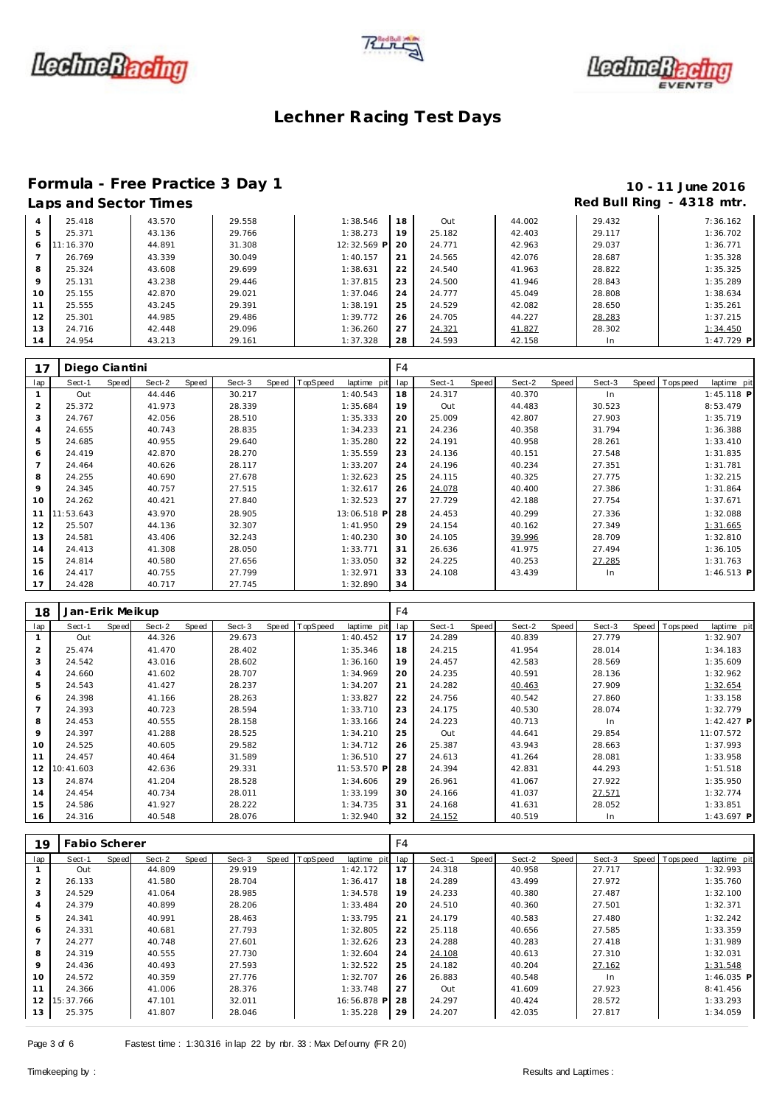





# Formula - Free Practice 3 Day 1<br>
Laps and Sector Times<br>
10 - 11 June 2016<br>
Red Bull Ring - 4318 mtr.

| 4  | 25.418   | 43.570 | 29.558 | 1:38.546    | 18 | Out    | 44.002 | 29.432 | 7:36.162     |
|----|----------|--------|--------|-------------|----|--------|--------|--------|--------------|
|    | 25.371   | 43.136 | 29.766 | 1:38.273    | 19 | 25.182 | 42.403 | 29.117 | 1:36.702     |
| 6  | 1:16.370 | 44.891 | 31.308 | 12:32.569 P | 20 | 24.771 | 42.963 | 29.037 | 1:36.771     |
|    | 26.769   | 43.339 | 30.049 | 1:40.157    | 21 | 24.565 | 42.076 | 28.687 | 1:35.328     |
| 8  | 25.324   | 43.608 | 29.699 | 1:38.631    | 22 | 24.540 | 41.963 | 28.822 | 1:35.325     |
| 9  | 25.131   | 43.238 | 29.446 | 1:37.815    | 23 | 24.500 | 41.946 | 28.843 | 1:35.289     |
| 10 | 25.155   | 42.870 | 29.021 | 1:37.046    | 24 | 24.777 | 45.049 | 28.808 | 1:38.634     |
|    | 25.555   | 43.245 | 29.391 | 1:38.191    | 25 | 24.529 | 42.082 | 28.650 | 1:35.261     |
| 12 | 25.301   | 44.985 | 29.486 | 1:39.772    | 26 | 24.705 | 44.227 | 28.283 | 1:37.215     |
| 13 | 24.716   | 42.448 | 29.096 | 1:36.260    | 27 | 24.321 | 41.827 | 28.302 | 1:34.450     |
| 14 | 24.954   | 43.213 | 29.161 | 1:37.328    | 28 | 24.593 | 42.158 | In     | $1:47.729$ P |

| 17             | Diego Ciantini |       |        |       |        |       |          |             | F4  |        |              |        |       |        |       |          |              |
|----------------|----------------|-------|--------|-------|--------|-------|----------|-------------|-----|--------|--------------|--------|-------|--------|-------|----------|--------------|
| lap            | Sect-1         | Speed | Sect-2 | Speed | Sect-3 | Speed | TopSpeed | laptime pit | lap | Sect-1 | <b>Speed</b> | Sect-2 | Speed | Sect-3 | Speed | Topspeed | laptime pit  |
|                | Out            |       | 44.446 |       | 30.217 |       |          | 1:40.543    | 18  | 24.317 |              | 40.370 |       | In     |       |          | $1:45.118$ P |
| $\overline{2}$ | 25.372         |       | 41.973 |       | 28.339 |       |          | 1:35.684    | 19  | Out    |              | 44.483 |       | 30.523 |       |          | 8:53.479     |
| 3              | 24.767         |       | 42.056 |       | 28.510 |       |          | 1:35.333    | 20  | 25.009 |              | 42.807 |       | 27.903 |       |          | 1:35.719     |
| $\overline{4}$ | 24.655         |       | 40.743 |       | 28.835 |       |          | 1:34.233    | 21  | 24.236 |              | 40.358 |       | 31.794 |       |          | 1:36.388     |
| 5              | 24.685         |       | 40.955 |       | 29.640 |       |          | 1:35.280    | 22  | 24.191 |              | 40.958 |       | 28.261 |       |          | 1:33.410     |
| 6              | 24.419         |       | 42.870 |       | 28.270 |       |          | 1:35.559    | 23  | 24.136 |              | 40.151 |       | 27.548 |       |          | 1:31.835     |
|                | 24.464         |       | 40.626 |       | 28.117 |       |          | 1:33.207    | 24  | 24.196 |              | 40.234 |       | 27.351 |       |          | 1:31.781     |
| 8              | 24.255         |       | 40.690 |       | 27.678 |       |          | 1:32.623    | 25  | 24.115 |              | 40.325 |       | 27.775 |       |          | 1:32.215     |
| 9              | 24.345         |       | 40.757 |       | 27.515 |       |          | 1:32.617    | 26  | 24.078 |              | 40.400 |       | 27.386 |       |          | 1:31.864     |
| 10             | 24.262         |       | 40.421 |       | 27.840 |       |          | 1:32.523    | 27  | 27.729 |              | 42.188 |       | 27.754 |       |          | 1:37.671     |
|                | 11 11:53.643   |       | 43.970 |       | 28.905 |       |          | 13:06.518 P | 28  | 24.453 |              | 40.299 |       | 27.336 |       |          | 1:32.088     |
| 12             | 25.507         |       | 44.136 |       | 32.307 |       |          | 1:41.950    | 29  | 24.154 |              | 40.162 |       | 27.349 |       |          | 1:31.665     |
| 13             | 24.581         |       | 43.406 |       | 32.243 |       |          | 1:40.230    | 30  | 24.105 |              | 39.996 |       | 28.709 |       |          | 1:32.810     |
| 14             | 24.413         |       | 41.308 |       | 28.050 |       |          | 1:33.771    | 31  | 26.636 |              | 41.975 |       | 27.494 |       |          | 1:36.105     |
| 15             | 24.814         |       | 40.580 |       | 27.656 |       |          | 1:33.050    | 32  | 24.225 |              | 40.253 |       | 27.285 |       |          | 1:31.763     |
| 16             | 24.417         |       | 40.755 |       | 27.799 |       |          | 1:32.971    | 33  | 24.108 |              | 43.439 |       | In     |       |          | $1:46.513$ P |
| 17             | 24.428         |       | 40.717 |       | 27.745 |       |          | 1:32.890    | 34  |        |              |        |       |        |       |          |              |

| 18  | Jan-Erik Meikup |              |        |       |        |       |                 |             | F <sub>4</sub> |        |       |        |       |        |       |           |              |
|-----|-----------------|--------------|--------|-------|--------|-------|-----------------|-------------|----------------|--------|-------|--------|-------|--------|-------|-----------|--------------|
| lap | Sect-1          | <b>Speed</b> | Sect-2 | Speed | Sect-3 | Speed | <b>TopSpeed</b> | laptime pit | lap            | Sect-1 | Speed | Sect-2 | Speed | Sect-3 | Speed | Tops peed | laptime pit  |
|     | Out             |              | 44.326 |       | 29.673 |       |                 | 1:40.452    | 17             | 24.289 |       | 40.839 |       | 27.779 |       |           | 1:32.907     |
| 2   | 25.474          |              | 41.470 |       | 28.402 |       |                 | 1:35.346    | 18             | 24.215 |       | 41.954 |       | 28.014 |       |           | 1:34.183     |
| 3   | 24.542          |              | 43.016 |       | 28.602 |       |                 | 1:36.160    | 19             | 24.457 |       | 42.583 |       | 28.569 |       |           | 1:35.609     |
| 4   | 24.660          |              | 41.602 |       | 28.707 |       |                 | 1:34.969    | 20             | 24.235 |       | 40.591 |       | 28.136 |       |           | 1:32.962     |
| 5   | 24.543          |              | 41.427 |       | 28.237 |       |                 | 1:34.207    | 21             | 24.282 |       | 40.463 |       | 27.909 |       |           | 1:32.654     |
| 6   | 24.398          |              | 41.166 |       | 28.263 |       |                 | 1:33.827    | 22             | 24.756 |       | 40.542 |       | 27.860 |       |           | 1:33.158     |
|     | 24.393          |              | 40.723 |       | 28.594 |       |                 | 1:33.710    | 23             | 24.175 |       | 40.530 |       | 28.074 |       |           | 1:32.779     |
| 8   | 24.453          |              | 40.555 |       | 28.158 |       |                 | 1:33.166    | 24             | 24.223 |       | 40.713 |       | In     |       |           | $1:42.427$ P |
| 9   | 24.397          |              | 41.288 |       | 28.525 |       |                 | 1:34.210    | 25             | Out    |       | 44.641 |       | 29.854 |       |           | 11:07.572    |
| 10  | 24.525          |              | 40.605 |       | 29.582 |       |                 | 1:34.712    | 26             | 25.387 |       | 43.943 |       | 28.663 |       |           | 1:37.993     |
| 11  | 24.457          |              | 40.464 |       | 31.589 |       |                 | 1:36.510    | 27             | 24.613 |       | 41.264 |       | 28.081 |       |           | 1:33.958     |
| 12  | 10:41.603       |              | 42.636 |       | 29.331 |       |                 | 11:53.570 P | 28             | 24.394 |       | 42.831 |       | 44.293 |       |           | 1:51.518     |
| 13  | 24.874          |              | 41.204 |       | 28.528 |       |                 | 1:34.606    | 29             | 26.961 |       | 41.067 |       | 27.922 |       |           | 1:35.950     |
| 14  | 24.454          |              | 40.734 |       | 28.011 |       |                 | 1:33.199    | 30             | 24.166 |       | 41.037 |       | 27.571 |       |           | 1:32.774     |
| 15  | 24.586          |              | 41.927 |       | 28.222 |       |                 | 1:34.735    | 31             | 24.168 |       | 41.631 |       | 28.052 |       |           | 1:33.851     |
| 16  | 24.316          |              | 40.548 |       | 28.076 |       |                 | 1:32.940    | 32             | 24.152 |       | 40.519 |       | In     |       |           | $1:43.697$ P |

| 19  | Fabio Scherer |       |        |       |        |                |             | F4  |        |       |        |       |        |                |              |
|-----|---------------|-------|--------|-------|--------|----------------|-------------|-----|--------|-------|--------|-------|--------|----------------|--------------|
| lap | Sect-1        | Speed | Sect-2 | Speed | Sect-3 | Speed TopSpeed | laptime pit | lap | Sect-1 | Speed | Sect-2 | Speed | Sect-3 | Speed Topspeed | laptime pit  |
|     | Out           |       | 44.809 |       | 29.919 |                | 1:42.172    | 17  | 24.318 |       | 40.958 |       | 27.717 |                | 1:32.993     |
|     | 26.133        |       | 41.580 |       | 28.704 |                | 1:36.417    | 18  | 24.289 |       | 43.499 |       | 27.972 |                | 1:35.760     |
|     | 24.529        |       | 41.064 |       | 28.985 |                | 1:34.578    | 19  | 24.233 |       | 40.380 |       | 27.487 |                | 1:32.100     |
| 4   | 24.379        |       | 40.899 |       | 28.206 |                | 1:33.484    | 20  | 24.510 |       | 40.360 |       | 27.501 |                | 1:32.371     |
| 5   | 24.341        |       | 40.991 |       | 28.463 |                | 1:33.795    | 21  | 24.179 |       | 40.583 |       | 27.480 |                | 1:32.242     |
| 6   | 24.331        |       | 40.681 |       | 27.793 |                | 1:32.805    | 22  | 25.118 |       | 40.656 |       | 27.585 |                | 1:33.359     |
|     | 24.277        |       | 40.748 |       | 27.601 |                | 1:32.626    | 23  | 24.288 |       | 40.283 |       | 27.418 |                | 1:31.989     |
| 8   | 24.319        |       | 40.555 |       | 27.730 |                | 1:32.604    | 24  | 24.108 |       | 40.613 |       | 27.310 |                | 1:32.031     |
| 9   | 24.436        |       | 40.493 |       | 27.593 |                | 1:32.522    | 25  | 24.182 |       | 40.204 |       | 27.162 |                | 1:31.548     |
| 10  | 24.572        |       | 40.359 |       | 27.776 |                | 1:32.707    | 26  | 26.883 |       | 40.548 |       | In.    |                | $1:46.035$ P |
| 11  | 24.366        |       | 41.006 |       | 28.376 |                | 1:33.748    | 27  | Out    |       | 41.609 |       | 27.923 |                | 8:41.456     |
| 12  | 15:37.766     |       | 47.101 |       | 32.011 |                | 16:56.878 P | 28  | 24.297 |       | 40.424 |       | 28.572 |                | 1:33.293     |
| 13  | 25.375        |       | 41.807 |       | 28.046 |                | 1:35.228    | 29  | 24.207 |       | 42.035 |       | 27.817 |                | 1:34.059     |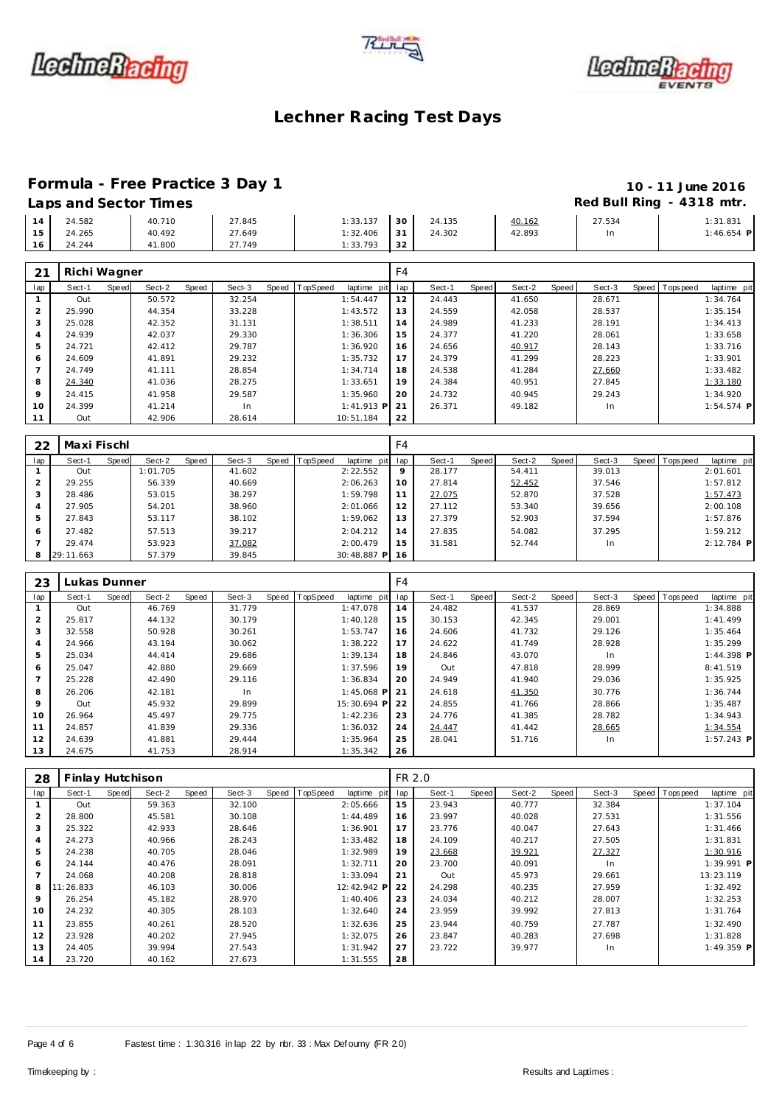





# **Formula - Free Practice 3 Day 1 10 - 11 June 2016**

## **Laps and Sector Times Red Bull Ring - 4318 mtr.**

|    | Laps and Scotor innes |        |        |          |      |        |        | $1.00$ $\mu$ $\mu$ $\mu$ $\mu$ $\mu$ $\mu$ | .          |
|----|-----------------------|--------|--------|----------|------|--------|--------|--------------------------------------------|------------|
| 14 | 24.582                | 40.710 | 27.845 | 1:33.137 | 30 l | 24.135 | 40.162 | 27.534                                     | 1:31.831   |
| 15 | 24.265                | 40.492 | 27.649 | 1:32.406 | 131  | 24.302 | 42.893 |                                            | 1:46.654 F |
| 16 | 24.244                | 41.800 | 27.749 | 1:33.793 | 32   |        |        |                                            |            |

| 21             | Richi Wagner |       |        |       |        |       |          |              | F <sub>4</sub> |        |       |        |       |        |                |              |
|----------------|--------------|-------|--------|-------|--------|-------|----------|--------------|----------------|--------|-------|--------|-------|--------|----------------|--------------|
| lap            | Sect-1       | Speed | Sect-2 | Speed | Sect-3 | Speed | TopSpeed | laptime pit  | lap            | Sect-1 | Speed | Sect-2 | Speed | Sect-3 | Speed Topspeed | laptime pit  |
|                | Out          |       | 50.572 |       | 32.254 |       |          | 1:54.447     | 12             | 24.443 |       | 41.650 |       | 28.671 |                | 1:34.764     |
| 2              | 25.990       |       | 44.354 |       | 33.228 |       |          | 1:43.572     | 13             | 24.559 |       | 42.058 |       | 28.537 |                | 1:35.154     |
| 3              | 25.028       |       | 42.352 |       | 31.131 |       |          | 1:38.511     | 14             | 24.989 |       | 41.233 |       | 28.191 |                | 1:34.413     |
| $\overline{a}$ | 24.939       |       | 42.037 |       | 29.330 |       |          | 1:36.306     | 15             | 24.377 |       | 41.220 |       | 28.061 |                | 1:33.658     |
| 5              | 24.721       |       | 42.412 |       | 29.787 |       |          | 1:36.920     | 16             | 24.656 |       | 40.917 |       | 28.143 |                | 1:33.716     |
| 6              | 24.609       |       | 41.891 |       | 29.232 |       |          | 1:35.732     | 17             | 24.379 |       | 41.299 |       | 28.223 |                | 1:33.901     |
|                | 24.749       |       | 41.111 |       | 28.854 |       |          | 1:34.714     | 18             | 24.538 |       | 41.284 |       | 27.660 |                | 1:33.482     |
| 8              | 24.340       |       | 41.036 |       | 28.275 |       |          | 1:33.651     | 19             | 24.384 |       | 40.951 |       | 27.845 |                | 1:33.180     |
| $\mathsf Q$    | 24.415       |       | 41.958 |       | 29.587 |       |          | 1:35.960     | 20             | 24.732 |       | 40.945 |       | 29.243 |                | 1:34.920     |
| 10             | 24.399       |       | 41.214 |       | In.    |       |          | $1:41.913$ P | 21             | 26.371 |       | 49.182 |       | In.    |                | $1:54.574$ P |
| 11             | Out          |       | 42.906 |       | 28.614 |       |          | 10:51.184    | 22             |        |       |        |       |        |                |              |

| 22  | Maxi Fischl |       |          |       |        |                  |             | F4  |        |       |        |       |        |                |              |
|-----|-------------|-------|----------|-------|--------|------------------|-------------|-----|--------|-------|--------|-------|--------|----------------|--------------|
| lap | Sect-1      | Speed | Sect-2   | Speed | Sect-3 | Speed   TopSpeed | laptime pit | lap | Sect-1 | Speed | Sect-2 | Speed | Sect-3 | Speed Topspeed | laptime pit  |
|     | Out         |       | 1:01.705 |       | 41.602 |                  | 2:22.552    | 9   | 28.177 |       | 54.411 |       | 39.013 |                | 2:01.601     |
|     | 29.255      |       | 56.339   |       | 40.669 |                  | 2:06.263    | 10  | 27.814 |       | 52.452 |       | 37.546 |                | 1:57.812     |
|     | 28.486      |       | 53.015   |       | 38.297 |                  | 1:59.798    | 11  | 27.075 |       | 52.870 |       | 37.528 |                | 1:57.473     |
|     | 27.905      |       | 54.201   |       | 38.960 |                  | 2:01.066    | 12  | 27.112 |       | 53.340 |       | 39.656 |                | 2:00.108     |
| 5   | 27.843      |       | 53.117   |       | 38.102 |                  | 1:59.062    | 13  | 27.379 |       | 52.903 |       | 37.594 |                | 1:57.876     |
| 6   | 27.482      |       | 57.513   |       | 39.217 |                  | 2:04.212    | 14  | 27.835 |       | 54.082 |       | 37.295 |                | 1:59.212     |
|     | 29.474      |       | 53.923   |       | 37.082 |                  | 2:00.479    | 15  | 31.581 |       | 52.744 |       | In     |                | $2:12.784$ P |
|     | 29:11.663   |       | 57.379   |       | 39.845 |                  | 30:48.887 P | 16  |        |       |        |       |        |                |              |

| 23             | Lukas Dunner |              |        |       |        |                |                 | F <sub>4</sub> |        |       |        |       |        |                |              |  |
|----------------|--------------|--------------|--------|-------|--------|----------------|-----------------|----------------|--------|-------|--------|-------|--------|----------------|--------------|--|
| Iap            | Sect-1       | <b>Speed</b> | Sect-2 | Speed | Sect-3 | Speed TopSpeed | laptime<br>pitl | lap            | Sect-1 | Speed | Sect-2 | Speed | Sect-3 | Speed Topspeed | laptime pit  |  |
|                | Out          |              | 46.769 |       | 31.779 |                | 1:47.078        | 14             | 24.482 |       | 41.537 |       | 28.869 |                | 1:34.888     |  |
| $\overline{2}$ | 25.817       |              | 44.132 |       | 30.179 |                | 1:40.128        | 15             | 30.153 |       | 42.345 |       | 29.001 |                | 1:41.499     |  |
| 3              | 32.558       |              | 50.928 |       | 30.261 |                | 1:53.747        | 16             | 24.606 |       | 41.732 |       | 29.126 |                | 1:35.464     |  |
| 4              | 24.966       |              | 43.194 |       | 30.062 |                | 1:38.222        | 17             | 24.622 |       | 41.749 |       | 28.928 |                | 1:35.299     |  |
| 5              | 25.034       |              | 44.414 |       | 29.686 |                | 1:39.134        | 18             | 24.846 |       | 43.070 |       | In.    |                | $1:44.398$ P |  |
| 6              | 25.047       |              | 42.880 |       | 29.669 |                | 1:37.596        | 19             | Out    |       | 47.818 |       | 28.999 |                | 8:41.519     |  |
|                | 25.228       |              | 42.490 |       | 29.116 |                | 1:36.834        | 20             | 24.949 |       | 41.940 |       | 29.036 |                | 1:35.925     |  |
| 8              | 26.206       |              | 42.181 |       | In.    |                | $1:45.068$ P    | 21             | 24.618 |       | 41.350 |       | 30.776 |                | 1:36.744     |  |
| 9              | Out          |              | 45.932 |       | 29.899 |                | 15:30.694 P     | 22             | 24.855 |       | 41.766 |       | 28.866 |                | 1:35.487     |  |
| 10             | 26.964       |              | 45.497 |       | 29.775 |                | 1:42.236        | 23             | 24.776 |       | 41.385 |       | 28.782 |                | 1:34.943     |  |
| 11             | 24.857       |              | 41.839 |       | 29.336 |                | 1:36.032        | 24             | 24.447 |       | 41.442 |       | 28.665 |                | 1:34.554     |  |
| 12             | 24.639       |              | 41.881 |       | 29.444 |                | 1:35.964        | 25             | 28.041 |       | 51.716 |       | In.    |                | $1:57.243$ P |  |
| 13             | 24.675       |              | 41.753 |       | 28.914 |                | 1:35.342        | 26             |        |       |        |       |        |                |              |  |

| 28  | Finlay Hutchison |       |        |       |        |                |             | FR 2.0 |        |       |        |       |        |                |              |
|-----|------------------|-------|--------|-------|--------|----------------|-------------|--------|--------|-------|--------|-------|--------|----------------|--------------|
| lap | Sect-1           | Speed | Sect-2 | Speed | Sect-3 | Speed TopSpeed | laptime pit | lap    | Sect-1 | Speed | Sect-2 | Speed | Sect-3 | Speed Topspeed | laptime pit  |
|     | Out              |       | 59.363 |       | 32.100 |                | 2:05.666    | 15     | 23.943 |       | 40.777 |       | 32.384 |                | 1:37.104     |
| 2   | 28.800           |       | 45.581 |       | 30.108 |                | 1:44.489    | 16     | 23.997 |       | 40.028 |       | 27.531 |                | 1:31.556     |
| 3   | 25.322           |       | 42.933 |       | 28.646 |                | 1:36.901    | 17     | 23.776 |       | 40.047 |       | 27.643 |                | 1:31.466     |
| 4   | 24.273           |       | 40.966 |       | 28.243 |                | 1:33.482    | 18     | 24.109 |       | 40.217 |       | 27.505 |                | 1:31.831     |
| 5   | 24.238           |       | 40.705 |       | 28.046 |                | 1:32.989    | 19     | 23.668 |       | 39.921 |       | 27.327 |                | 1:30.916     |
| 6   | 24.144           |       | 40.476 |       | 28.091 |                | 1:32.711    | 20     | 23.700 |       | 40.091 |       | In     |                | $1:39.991$ P |
|     | 24.068           |       | 40.208 |       | 28.818 |                | 1:33.094    | 21     | Out    |       | 45.973 |       | 29.661 |                | 13:23.119    |
| 8   | 11:26.833        |       | 46.103 |       | 30.006 |                | 12:42.942 P | 22     | 24.298 |       | 40.235 |       | 27.959 |                | 1:32.492     |
| 9   | 26.254           |       | 45.182 |       | 28.970 |                | 1:40.406    | 23     | 24.034 |       | 40.212 |       | 28.007 |                | 1:32.253     |
| 10  | 24.232           |       | 40.305 |       | 28.103 |                | 1:32.640    | 24     | 23.959 |       | 39.992 |       | 27.813 |                | 1:31.764     |
| 11  | 23.855           |       | 40.261 |       | 28.520 |                | 1:32.636    | 25     | 23.944 |       | 40.759 |       | 27.787 |                | 1:32.490     |
| 12  | 23.928           |       | 40.202 |       | 27.945 |                | 1:32.075    | 26     | 23.847 |       | 40.283 |       | 27.698 |                | 1:31.828     |
| 13  | 24.405           |       | 39.994 |       | 27.543 |                | 1:31.942    | 27     | 23.722 |       | 39.977 |       | In     |                | $1:49.359$ P |
| 14  | 23.720           |       | 40.162 |       | 27.673 |                | 1:31.555    | 28     |        |       |        |       |        |                |              |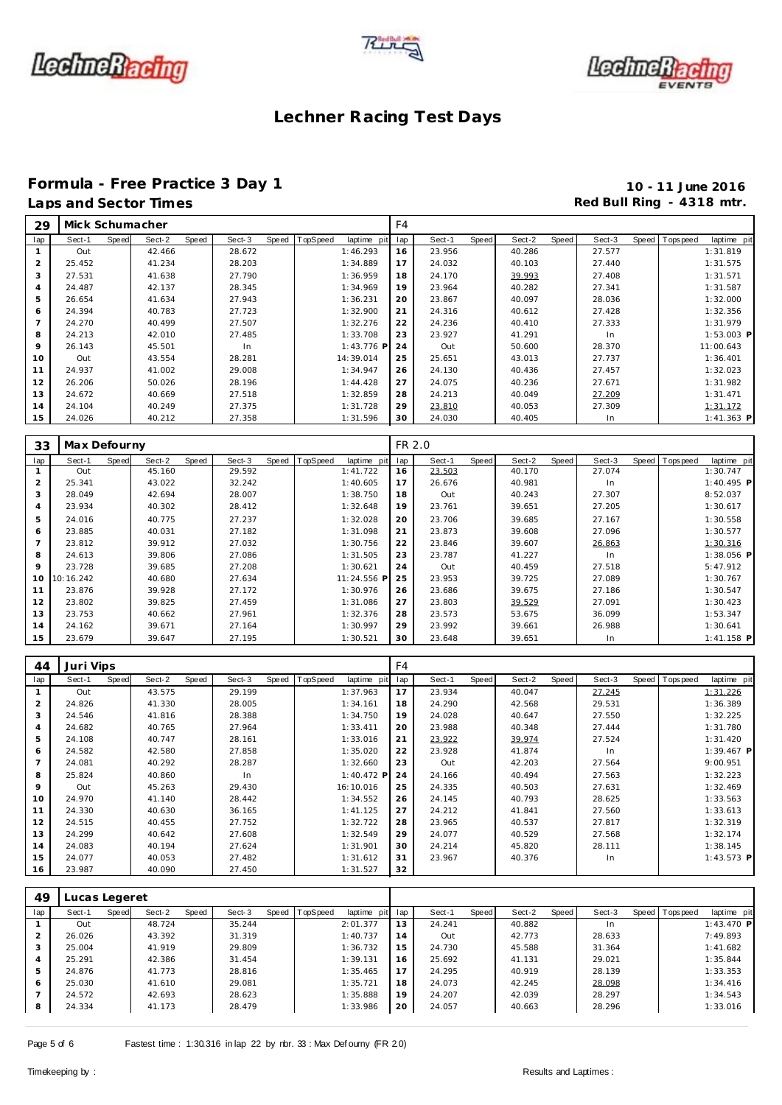





# Formula - Free Practice 3 Day 1<br>
Laps and Sector Times<br> **10 - 11 June 2016**<br>
Red Bull Ring - 4318 mtr.

| 29             | Mick Schumacher |       |        |       |        |       |          |              | F4  |        |       |        |       |        |                |              |
|----------------|-----------------|-------|--------|-------|--------|-------|----------|--------------|-----|--------|-------|--------|-------|--------|----------------|--------------|
| lap            | Sect-1          | Speed | Sect-2 | Speed | Sect-3 | Speed | TopSpeed | laptime pit  | lap | Sect-1 | Speed | Sect-2 | Speed | Sect-3 | Speed Topspeed | laptime pit  |
|                | Out             |       | 42.466 |       | 28.672 |       |          | 1:46.293     | 16  | 23.956 |       | 40.286 |       | 27.577 |                | 1:31.819     |
| 2              | 25.452          |       | 41.234 |       | 28.203 |       |          | 1:34.889     | 17  | 24.032 |       | 40.103 |       | 27.440 |                | 1:31.575     |
| 3              | 27.531          |       | 41.638 |       | 27.790 |       |          | 1:36.959     | 18  | 24.170 |       | 39.993 |       | 27.408 |                | 1:31.571     |
| $\overline{4}$ | 24.487          |       | 42.137 |       | 28.345 |       |          | 1:34.969     | 19  | 23.964 |       | 40.282 |       | 27.341 |                | 1:31.587     |
| 5              | 26.654          |       | 41.634 |       | 27.943 |       |          | 1:36.231     | 20  | 23.867 |       | 40.097 |       | 28.036 |                | 1:32.000     |
| 6              | 24.394          |       | 40.783 |       | 27.723 |       |          | 1:32.900     | 21  | 24.316 |       | 40.612 |       | 27.428 |                | 1:32.356     |
| $\overline{ }$ | 24.270          |       | 40.499 |       | 27.507 |       |          | 1:32.276     | 22  | 24.236 |       | 40.410 |       | 27.333 |                | 1:31.979     |
| 8              | 24.213          |       | 42.010 |       | 27.485 |       |          | 1:33.708     | 23  | 23.927 |       | 41.291 |       | In.    |                | $1:53.003$ P |
| 9              | 26.143          |       | 45.501 |       | In     |       |          | $1:43.776$ P | 24  | Out    |       | 50.600 |       | 28.370 |                | 11:00.643    |
| 10             | Out             |       | 43.554 |       | 28.281 |       |          | 14:39.014    | 25  | 25.651 |       | 43.013 |       | 27.737 |                | 1:36.401     |
| 11             | 24.937          |       | 41.002 |       | 29.008 |       |          | 1:34.947     | 26  | 24.130 |       | 40.436 |       | 27.457 |                | 1:32.023     |
| 12             | 26.206          |       | 50.026 |       | 28.196 |       |          | 1:44.428     | 27  | 24.075 |       | 40.236 |       | 27.671 |                | 1:31.982     |
| 13             | 24.672          |       | 40.669 |       | 27.518 |       |          | 1:32.859     | 28  | 24.213 |       | 40.049 |       | 27.209 |                | 1:31.471     |
| 14             | 24.104          |       | 40.249 |       | 27.375 |       |          | 1:31.728     | 29  | 23.810 |       | 40.053 |       | 27.309 |                | 1:31.172     |
| 15             | 24.026          |       | 40.212 |       | 27.358 |       |          | 1:31.596     | 30  | 24.030 |       | 40.405 |       | In.    |                | 1:41.363 P   |

| 33             | Max Defourny |       |        |       |        |       |          |             | FR 2.0 |        |       |        |       |        |                |              |
|----------------|--------------|-------|--------|-------|--------|-------|----------|-------------|--------|--------|-------|--------|-------|--------|----------------|--------------|
| lap            | Sect-1       | Speed | Sect-2 | Speed | Sect-3 | Speed | TopSpeed | laptime pit | lap    | Sect-1 | Speed | Sect-2 | Speed | Sect-3 | Speed Topspeed | laptime pit  |
|                | Out          |       | 45.160 |       | 29.592 |       |          | 1:41.722    | 16     | 23.503 |       | 40.170 |       | 27.074 |                | 1:30.747     |
| 2              | 25.341       |       | 43.022 |       | 32.242 |       |          | 1:40.605    | 17     | 26.676 |       | 40.981 |       | In     |                | $1:40.495$ P |
| 3              | 28.049       |       | 42.694 |       | 28.007 |       |          | 1:38.750    | 18     | Out    |       | 40.243 |       | 27.307 |                | 8:52.037     |
| $\overline{a}$ | 23.934       |       | 40.302 |       | 28.412 |       |          | 1:32.648    | 19     | 23.761 |       | 39.651 |       | 27.205 |                | 1:30.617     |
| 5              | 24.016       |       | 40.775 |       | 27.237 |       |          | 1:32.028    | 20     | 23.706 |       | 39.685 |       | 27.167 |                | 1:30.558     |
| 6              | 23.885       |       | 40.031 |       | 27.182 |       |          | 1:31.098    | 21     | 23.873 |       | 39.608 |       | 27.096 |                | 1:30.577     |
|                | 23.812       |       | 39.912 |       | 27.032 |       |          | 1:30.756    | 22     | 23.846 |       | 39.607 |       | 26.863 |                | 1:30.316     |
| 8              | 24.613       |       | 39.806 |       | 27.086 |       |          | 1:31.505    | 23     | 23.787 |       | 41.227 |       | In     |                | $1:38.056$ P |
| $\circ$        | 23.728       |       | 39.685 |       | 27.208 |       |          | 1:30.621    | 24     | Out    |       | 40.459 |       | 27.518 |                | 5:47.912     |
| 10             | 10:16.242    |       | 40.680 |       | 27.634 |       |          | 11:24.556 P | 25     | 23.953 |       | 39.725 |       | 27.089 |                | 1:30.767     |
| 11             | 23.876       |       | 39.928 |       | 27.172 |       |          | 1:30.976    | 26     | 23.686 |       | 39.675 |       | 27.186 |                | 1:30.547     |
| 12             | 23.802       |       | 39.825 |       | 27.459 |       |          | 1:31.086    | 27     | 23.803 |       | 39.529 |       | 27.091 |                | 1:30.423     |
| 13             | 23.753       |       | 40.662 |       | 27.961 |       |          | 1:32.376    | 28     | 23.573 |       | 53.675 |       | 36.099 |                | 1:53.347     |
| 14             | 24.162       |       | 39.671 |       | 27.164 |       |          | 1:30.997    | 29     | 23.992 |       | 39.661 |       | 26.988 |                | 1:30.641     |
| 15             | 23.679       |       | 39.647 |       | 27.195 |       |          | 1:30.521    | 30     | 23.648 |       | 39.651 |       | In     |                | 1:41.158 P   |

| 44             | Juri Vips |       |        |       |        |       |          |              | F <sub>4</sub> |        |       |        |       |        |       |            |              |
|----------------|-----------|-------|--------|-------|--------|-------|----------|--------------|----------------|--------|-------|--------|-------|--------|-------|------------|--------------|
| lap            | Sect-1    | Speed | Sect-2 | Speed | Sect-3 | Speed | TopSpeed | laptime pit  | lap            | Sect-1 | Speed | Sect-2 | Speed | Sect-3 | Speed | T ops peed | laptime pit  |
|                | Out       |       | 43.575 |       | 29.199 |       |          | 1:37.963     | 17             | 23.934 |       | 40.047 |       | 27.245 |       |            | 1:31.226     |
| $\overline{a}$ | 24.826    |       | 41.330 |       | 28.005 |       |          | 1:34.161     | 18             | 24.290 |       | 42.568 |       | 29.531 |       |            | 1:36.389     |
| 3              | 24.546    |       | 41.816 |       | 28.388 |       |          | 1:34.750     | 19             | 24.028 |       | 40.647 |       | 27.550 |       |            | 1:32.225     |
| 4              | 24.682    |       | 40.765 |       | 27.964 |       |          | 1:33.411     | 20             | 23.988 |       | 40.348 |       | 27.444 |       |            | 1:31.780     |
| 5              | 24.108    |       | 40.747 |       | 28.161 |       |          | 1:33.016     | 21             | 23.922 |       | 39.974 |       | 27.524 |       |            | 1:31.420     |
| 6              | 24.582    |       | 42.580 |       | 27.858 |       |          | 1:35.020     | 22             | 23.928 |       | 41.874 |       | In     |       |            | $1:39.467$ P |
| $\overline{7}$ | 24.081    |       | 40.292 |       | 28.287 |       |          | 1:32.660     | 23             | Out    |       | 42.203 |       | 27.564 |       |            | 9:00.951     |
| 8              | 25.824    |       | 40.860 |       | In     |       |          | $1:40.472$ P | 24             | 24.166 |       | 40.494 |       | 27.563 |       |            | 1:32.223     |
| 9              | Out       |       | 45.263 |       | 29.430 |       |          | 16:10.016    | 25             | 24.335 |       | 40.503 |       | 27.631 |       |            | 1:32.469     |
| 10             | 24.970    |       | 41.140 |       | 28.442 |       |          | 1:34.552     | 26             | 24.145 |       | 40.793 |       | 28.625 |       |            | 1:33.563     |
| 11             | 24.330    |       | 40.630 |       | 36.165 |       |          | 1:41.125     | 27             | 24.212 |       | 41.841 |       | 27.560 |       |            | 1:33.613     |
| 12             | 24.515    |       | 40.455 |       | 27.752 |       |          | 1:32.722     | 28             | 23.965 |       | 40.537 |       | 27.817 |       |            | 1:32.319     |
| 13             | 24.299    |       | 40.642 |       | 27.608 |       |          | 1:32.549     | 29             | 24.077 |       | 40.529 |       | 27.568 |       |            | 1:32.174     |
| 14             | 24.083    |       | 40.194 |       | 27.624 |       |          | 1:31.901     | 30             | 24.214 |       | 45.820 |       | 28.111 |       |            | 1:38.145     |
| 15             | 24.077    |       | 40.053 |       | 27.482 |       |          | 1:31.612     | 31             | 23.967 |       | 40.376 |       | In     |       |            | $1:43.573$ P |
| 16             | 23.987    |       | 40.090 |       | 27.450 |       |          | 1:31.527     | 32             |        |       |        |       |        |       |            |              |

| 49             | Lucas Legeret |       |        |       |        |                |             |     |        |       |        |       |        |                |             |
|----------------|---------------|-------|--------|-------|--------|----------------|-------------|-----|--------|-------|--------|-------|--------|----------------|-------------|
| lap            | Sect-1        | Speed | Sect-2 | Speed | Sect-3 | Speed TopSpeed | laptime pit | lap | Sect-1 | Speed | Sect-2 | Speed | Sect-3 | Speed Topspeed | laptime pit |
|                | Out           |       | 48.724 |       | 35.244 |                | 2:01.377    | 13  | 24.241 |       | 40.882 |       | In     |                | 1:43.470 P  |
|                | 26.026        |       | 43.392 |       | 31.319 |                | 1:40.737    | 14  | Out    |       | 42.773 |       | 28.633 |                | 7:49.893    |
| 3              | 25.004        |       | 41.919 |       | 29.809 |                | 1:36.732    | 15  | 24.730 |       | 45.588 |       | 31.364 |                | 1:41.682    |
| $\overline{4}$ | 25.291        |       | 42.386 |       | 31.454 |                | 1:39.131    | 16  | 25.692 |       | 41.131 |       | 29.021 |                | 1:35.844    |
| 5              | 24.876        |       | 41.773 |       | 28.816 |                | 1:35.465    | 17  | 24.295 |       | 40.919 |       | 28.139 |                | 1:33.353    |
| 6              | 25.030        |       | 41.610 |       | 29.081 |                | 1:35.721    | 18  | 24.073 |       | 42.245 |       | 28.098 |                | 1:34.416    |
|                | 24.572        |       | 42.693 |       | 28.623 |                | 1:35.888    | 19  | 24.207 |       | 42.039 |       | 28.297 |                | 1:34.543    |
| 8              | 24.334        |       | 41.173 |       | 28.479 |                | 1:33.986    | 20  | 24.057 |       | 40.663 |       | 28.296 |                | 1:33.016    |